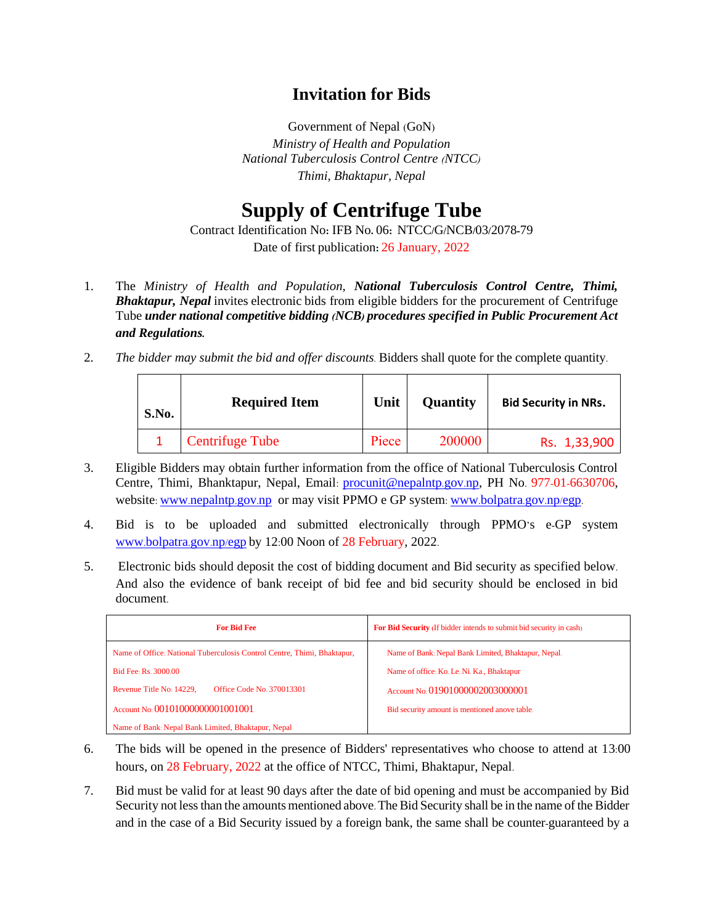## **Invitation for Bids**

Government of Nepal (GoN) *Ministry of Health and Population National Tuberculosis Control Centre (NTCC) Thimi, Bhaktapur, Nepal*

## **Supply of Centrifuge Tube**

Contract Identification No**:** IFB No**.** 06**:** NTCC**/**G**/**NCB**/**03**/**2078**-**79 Date of first publication**:** 26 January, 2022

- 1. The *Ministry of Health and Population, National Tuberculosis Control Centre, Thimi, Bhaktapur, Nepal* invites electronic bids from eligible bidders for the procurement of Centrifuge Tube *under national competitive bidding (NCB) procedures specified in Public Procurement Act and Regulations.*
- 2. *The bidder may submit the bid and offer discounts.* Bidders shall quote for the complete quantity.

| S.No. | <b>Required Item</b>   | Unit  | Quantity | <b>Bid Security in NRs.</b> |
|-------|------------------------|-------|----------|-----------------------------|
|       | <b>Centrifuge Tube</b> | Piece | 200000   | Rs. 1,33,900                |

- 3. Eligible Bidders may obtain further information from the office of National Tuberculosis Control Centre, Thimi, Bhanktapur, Nepal, Email: [procunit@nepalntp](mailto:procunit@nepalntp.gov.np).gov.np, PH No. 977-01-6630706, website: www.[nepalntp](http://www.nepalntp.gov.np/).gov.np or may visit PPMO e GP system: www.[bolpatra](http://www.bolpatra.gov.np/egp).gov.np/egp.
- 4. Bid is to be uploaded and submitted electronically through PPMO's e-GP system www.[bolpatra](http://www.bolpatra.gov.np/egp).gov.np/egp by 12:00 Noon of 28 February, 2022.
- 5. Electronic bids should deposit the cost of bidding document and Bid security as specified below. And also the evidence of bank receipt of bid fee and bid security should be enclosed in bid document.

| <b>For Bid Fee</b>                                                      | For Bid Security (If bidder intends to submit bid security in cash) |  |  |
|-------------------------------------------------------------------------|---------------------------------------------------------------------|--|--|
| Name of Office: National Tuberculosis Control Centre, Thimi, Bhaktapur, | Name of Bank: Nepal Bank Limited, Bhaktapur, Nepal.                 |  |  |
| <b>Bid Fee: Rs. 3000.00</b>                                             | Name of office: Ko. Le. Ni. Ka., Bhaktapur                          |  |  |
| <b>Office Code No. 370013301</b><br>Revenue Title No: 14229,            | Account No: 01901000002003000001                                    |  |  |
| Account No: 00101000000001001001                                        | Bid security amount is mentioned anove table.                       |  |  |
| Name of Bank: Nepal Bank Limited, Bhaktapur, Nepal                      |                                                                     |  |  |

- 6. The bids will be opened in the presence of Bidders' representatives who choose to attend at 13:00 hours, on 28 February, 2022 at the office of NTCC, Thimi, Bhaktapur, Nepal.
- 7. Bid must be valid for at least 90 days after the date of bid opening and must be accompanied by Bid Security not less than the amounts mentioned above. The Bid Security shall be in the name of the Bidder and in the case of a Bid Security issued by a foreign bank, the same shall be counter-guaranteed by a